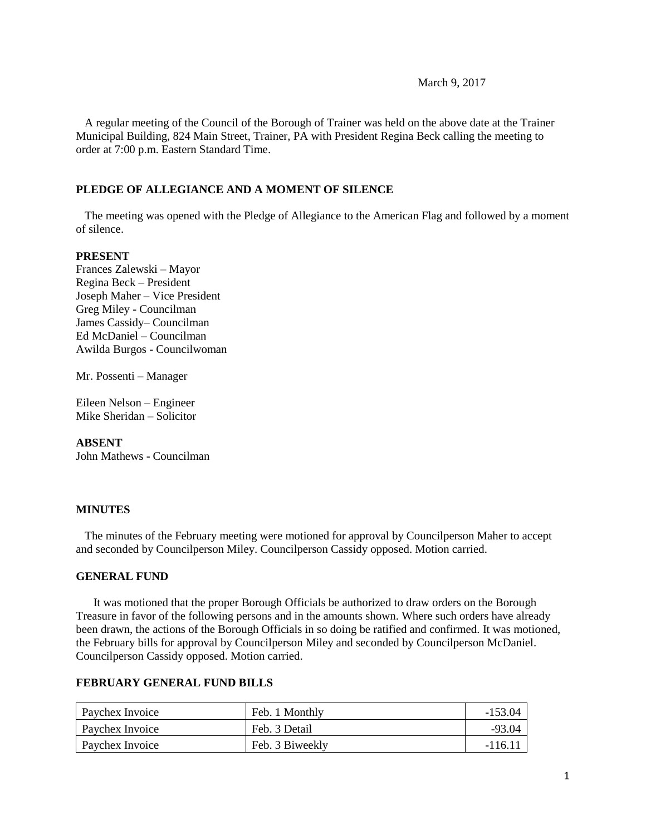March 9, 2017

 A regular meeting of the Council of the Borough of Trainer was held on the above date at the Trainer Municipal Building, 824 Main Street, Trainer, PA with President Regina Beck calling the meeting to order at 7:00 p.m. Eastern Standard Time.

## **PLEDGE OF ALLEGIANCE AND A MOMENT OF SILENCE**

 The meeting was opened with the Pledge of Allegiance to the American Flag and followed by a moment of silence.

## **PRESENT**

Frances Zalewski – Mayor Regina Beck – President Joseph Maher – Vice President Greg Miley - Councilman James Cassidy– Councilman Ed McDaniel – Councilman Awilda Burgos - Councilwoman

Mr. Possenti – Manager

Eileen Nelson – Engineer Mike Sheridan – Solicitor

## **ABSENT**

John Mathews - Councilman

#### **MINUTES**

The minutes of the February meeting were motioned for approval by Councilperson Maher to accept and seconded by Councilperson Miley. Councilperson Cassidy opposed. Motion carried.

#### **GENERAL FUND**

 It was motioned that the proper Borough Officials be authorized to draw orders on the Borough Treasure in favor of the following persons and in the amounts shown. Where such orders have already been drawn, the actions of the Borough Officials in so doing be ratified and confirmed. It was motioned, the February bills for approval by Councilperson Miley and seconded by Councilperson McDaniel. Councilperson Cassidy opposed. Motion carried.

#### **FEBRUARY GENERAL FUND BILLS**

| Paychex Invoice        | Feb. 1 Monthly  | -153.04  |
|------------------------|-----------------|----------|
| <b>Paychex Invoice</b> | Feb. 3 Detail   | -93.04   |
| Paychex Invoice        | Feb. 3 Biweekly | $-116.1$ |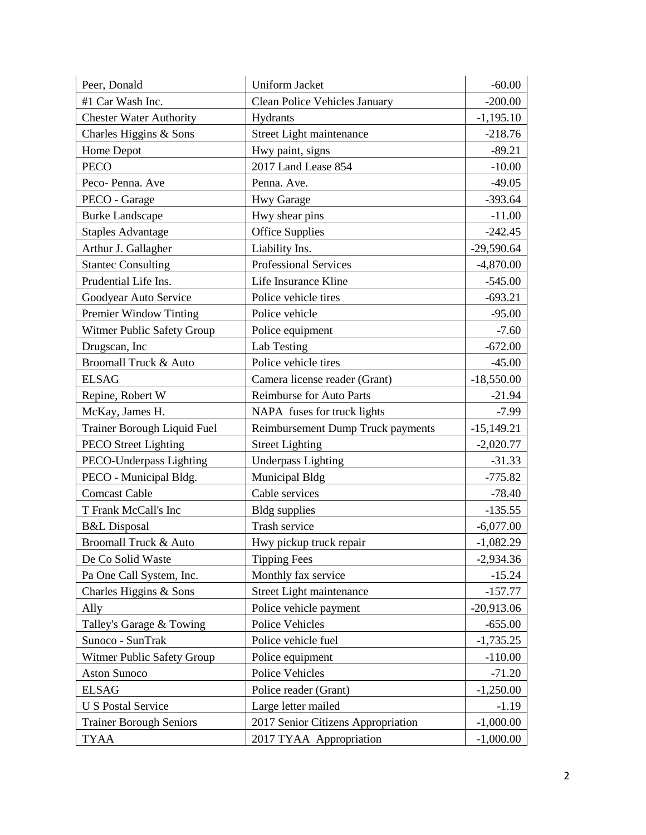| Peer, Donald                       | <b>Uniform Jacket</b>                | $-60.00$     |
|------------------------------------|--------------------------------------|--------------|
| #1 Car Wash Inc.                   | <b>Clean Police Vehicles January</b> | $-200.00$    |
| <b>Chester Water Authority</b>     | Hydrants                             | $-1,195.10$  |
| Charles Higgins & Sons             | Street Light maintenance             | $-218.76$    |
| Home Depot                         | Hwy paint, signs                     | $-89.21$     |
| <b>PECO</b>                        | 2017 Land Lease 854                  | $-10.00$     |
| Peco-Penna. Ave                    | Penna. Ave.                          | $-49.05$     |
| PECO - Garage                      | <b>Hwy Garage</b>                    | $-393.64$    |
| <b>Burke Landscape</b>             | Hwy shear pins                       | $-11.00$     |
| <b>Staples Advantage</b>           | <b>Office Supplies</b>               | $-242.45$    |
| Arthur J. Gallagher                | Liability Ins.                       | $-29,590.64$ |
| <b>Stantec Consulting</b>          | Professional Services                | $-4,870.00$  |
| Prudential Life Ins.               | Life Insurance Kline                 | $-545.00$    |
| Goodyear Auto Service              | Police vehicle tires                 | $-693.21$    |
| Premier Window Tinting             | Police vehicle                       | $-95.00$     |
| Witmer Public Safety Group         | Police equipment                     | $-7.60$      |
| Drugscan, Inc                      | Lab Testing                          | $-672.00$    |
| Broomall Truck & Auto              | Police vehicle tires                 | $-45.00$     |
| <b>ELSAG</b>                       | Camera license reader (Grant)        | $-18,550.00$ |
| Repine, Robert W                   | <b>Reimburse for Auto Parts</b>      | $-21.94$     |
| McKay, James H.                    | NAPA fuses for truck lights          | $-7.99$      |
| <b>Trainer Borough Liquid Fuel</b> | Reimbursement Dump Truck payments    | $-15,149.21$ |
| <b>PECO</b> Street Lighting        | <b>Street Lighting</b>               | $-2,020.77$  |
| PECO-Underpass Lighting            | <b>Underpass Lighting</b>            | $-31.33$     |
| PECO - Municipal Bldg.             | Municipal Bldg                       | $-775.82$    |
| <b>Comcast Cable</b>               | Cable services                       | $-78.40$     |
| T Frank McCall's Inc               | <b>Bldg</b> supplies                 | $-135.55$    |
| <b>B&amp;L</b> Disposal            | <b>Trash service</b>                 | $-6,077.00$  |
| Broomall Truck & Auto              | Hwy pickup truck repair              | $-1,082.29$  |
| De Co Solid Waste                  | <b>Tipping Fees</b>                  | $-2,934.36$  |
| Pa One Call System, Inc.           | Monthly fax service                  | $-15.24$     |
| Charles Higgins & Sons             | Street Light maintenance             | $-157.77$    |
| Ally                               | Police vehicle payment               | $-20,913.06$ |
| Talley's Garage & Towing           | Police Vehicles                      | $-655.00$    |
| Sunoco - SunTrak                   | Police vehicle fuel                  | $-1,735.25$  |
| Witmer Public Safety Group         | Police equipment                     | $-110.00$    |
| <b>Aston Sunoco</b>                | Police Vehicles                      | $-71.20$     |
| <b>ELSAG</b>                       | Police reader (Grant)                | $-1,250.00$  |
| <b>U S Postal Service</b>          | Large letter mailed                  | $-1.19$      |
| <b>Trainer Borough Seniors</b>     | 2017 Senior Citizens Appropriation   | $-1,000.00$  |
| <b>TYAA</b>                        | 2017 TYAA Appropriation              | $-1,000.00$  |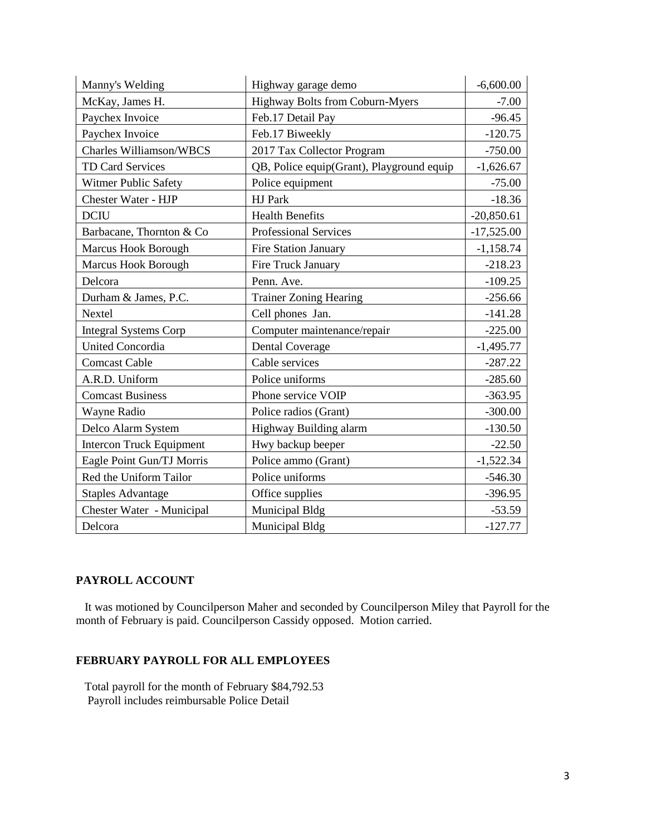| Manny's Welding                 | Highway garage demo                       | $-6,600.00$  |
|---------------------------------|-------------------------------------------|--------------|
| McKay, James H.                 | Highway Bolts from Coburn-Myers           | $-7.00$      |
| Paychex Invoice                 | Feb.17 Detail Pay                         | $-96.45$     |
| Paychex Invoice                 | Feb.17 Biweekly                           | $-120.75$    |
| <b>Charles Williamson/WBCS</b>  | 2017 Tax Collector Program                | $-750.00$    |
| TD Card Services                | QB, Police equip(Grant), Playground equip | $-1,626.67$  |
| Witmer Public Safety            | Police equipment                          | $-75.00$     |
| Chester Water - HJP             | HJ Park                                   | $-18.36$     |
| <b>DCIU</b>                     | <b>Health Benefits</b>                    | $-20,850.61$ |
| Barbacane, Thornton & Co        | Professional Services                     | $-17,525.00$ |
| Marcus Hook Borough             | <b>Fire Station January</b>               | $-1,158.74$  |
| Marcus Hook Borough             | Fire Truck January                        | $-218.23$    |
| Delcora                         | Penn. Ave.                                | $-109.25$    |
| Durham & James, P.C.            | <b>Trainer Zoning Hearing</b>             | $-256.66$    |
| Nextel                          | Cell phones Jan.                          | $-141.28$    |
| <b>Integral Systems Corp</b>    | Computer maintenance/repair               | $-225.00$    |
| <b>United Concordia</b>         | <b>Dental Coverage</b>                    | $-1,495.77$  |
| <b>Comcast Cable</b>            | Cable services                            | $-287.22$    |
| A.R.D. Uniform                  | Police uniforms                           | $-285.60$    |
| <b>Comcast Business</b>         | Phone service VOIP                        | $-363.95$    |
| Wayne Radio                     | Police radios (Grant)                     | $-300.00$    |
| Delco Alarm System              | Highway Building alarm                    | $-130.50$    |
| <b>Intercon Truck Equipment</b> | Hwy backup beeper                         | $-22.50$     |
| Eagle Point Gun/TJ Morris       | Police ammo (Grant)                       | $-1,522.34$  |
| Red the Uniform Tailor          | Police uniforms                           | $-546.30$    |
| <b>Staples Advantage</b>        | Office supplies                           | $-396.95$    |
| Chester Water - Municipal       | Municipal Bldg                            | $-53.59$     |
| Delcora                         | <b>Municipal Bldg</b>                     | $-127.77$    |

# **PAYROLL ACCOUNT**

 It was motioned by Councilperson Maher and seconded by Councilperson Miley that Payroll for the month of February is paid. Councilperson Cassidy opposed. Motion carried.

## **FEBRUARY PAYROLL FOR ALL EMPLOYEES**

 Total payroll for the month of February \$84,792.53 Payroll includes reimbursable Police Detail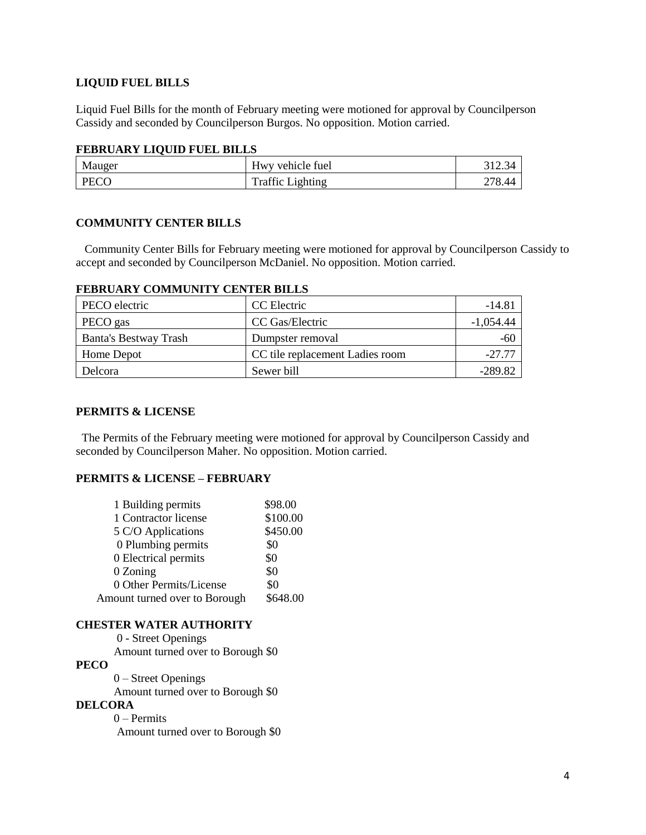## **LIQUID FUEL BILLS**

Liquid Fuel Bills for the month of February meeting were motioned for approval by Councilperson Cassidy and seconded by Councilperson Burgos. No opposition. Motion carried.

#### **FEBRUARY LIQUID FUEL BILLS**

| Mauger      | Hwy vehicle fuel        |              |
|-------------|-------------------------|--------------|
| <b>PECO</b> | <b>Traffic Lighting</b> | າາວ<br>18.44 |

## **COMMUNITY CENTER BILLS**

 Community Center Bills for February meeting were motioned for approval by Councilperson Cassidy to accept and seconded by Councilperson McDaniel. No opposition. Motion carried.

| PECO electric                | CC Electric                     | $-14.81$    |
|------------------------------|---------------------------------|-------------|
| PECO gas                     | CC Gas/Electric                 | $-1.054.44$ |
| <b>Banta's Bestway Trash</b> | Dumpster removal                | -60         |
| Home Depot                   | CC tile replacement Ladies room | $-27.77$    |
| Delcora                      | Sewer bill                      | -289.82     |

## **FEBRUARY COMMUNITY CENTER BILLS**

#### **PERMITS & LICENSE**

The Permits of the February meeting were motioned for approval by Councilperson Cassidy and seconded by Councilperson Maher. No opposition. Motion carried.

#### **PERMITS & LICENSE – FEBRUARY**

| 1 Building permits            | \$98.00  |
|-------------------------------|----------|
| 1 Contractor license          | \$100.00 |
| 5 C/O Applications            | \$450.00 |
| 0 Plumbing permits            | \$0      |
| 0 Electrical permits          | \$0      |
| 0 Zoning                      | \$0      |
| 0 Other Permits/License       | \$0      |
| Amount turned over to Borough | \$648.00 |

#### **CHESTER WATER AUTHORITY**

0 - Street Openings Amount turned over to Borough \$0 **PECO** 0 – Street Openings Amount turned over to Borough \$0 **DELCORA** 0 – Permits Amount turned over to Borough \$0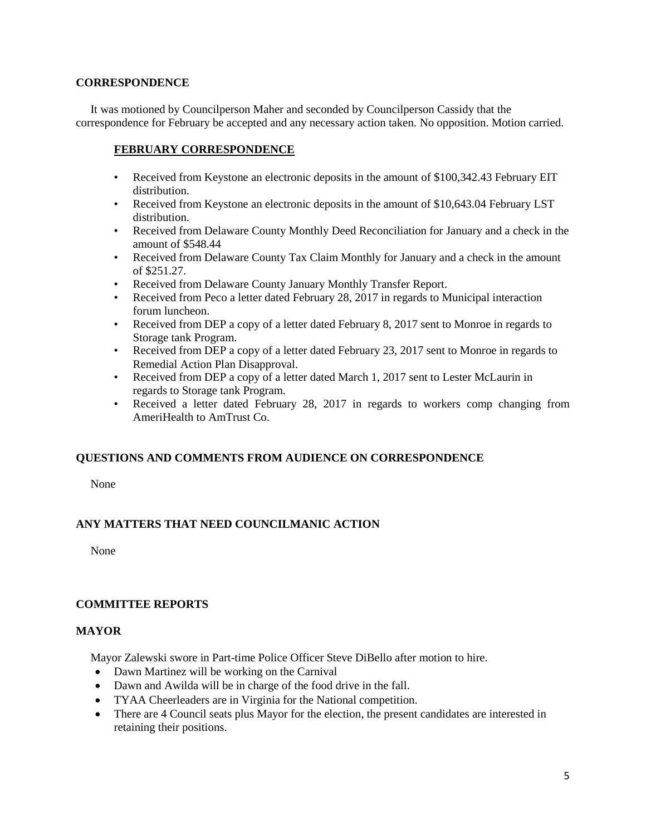#### **CORRESPONDENCE**

 It was motioned by Councilperson Maher and seconded by Councilperson Cassidy that the correspondence for February be accepted and any necessary action taken. No opposition. Motion carried.

## **FEBRUARY CORRESPONDENCE**

- Received from Keystone an electronic deposits in the amount of \$100,342.43 February EIT distribution.
- Received from Keystone an electronic deposits in the amount of \$10,643.04 February LST distribution.
- Received from Delaware County Monthly Deed Reconciliation for January and a check in the amount of \$548.44
- Received from Delaware County Tax Claim Monthly for January and a check in the amount of \$251.27.
- Received from Delaware County January Monthly Transfer Report.
- Received from Peco a letter dated February 28, 2017 in regards to Municipal interaction forum luncheon.
- Received from DEP a copy of a letter dated February 8, 2017 sent to Monroe in regards to Storage tank Program.
- Received from DEP a copy of a letter dated February 23, 2017 sent to Monroe in regards to Remedial Action Plan Disapproval.
- Received from DEP a copy of a letter dated March 1, 2017 sent to Lester McLaurin in regards to Storage tank Program.
- Received a letter dated February 28, 2017 in regards to workers comp changing from AmeriHealth to AmTrust Co.

# **QUESTIONS AND COMMENTS FROM AUDIENCE ON CORRESPONDENCE**

None

# **ANY MATTERS THAT NEED COUNCILMANIC ACTION**

None

## **COMMITTEE REPORTS**

## **MAYOR**

Mayor Zalewski swore in Part-time Police Officer Steve DiBello after motion to hire.

- Dawn Martinez will be working on the Carnival
- Dawn and Awilda will be in charge of the food drive in the fall.
- TYAA Cheerleaders are in Virginia for the National competition.
- There are 4 Council seats plus Mayor for the election, the present candidates are interested in retaining their positions.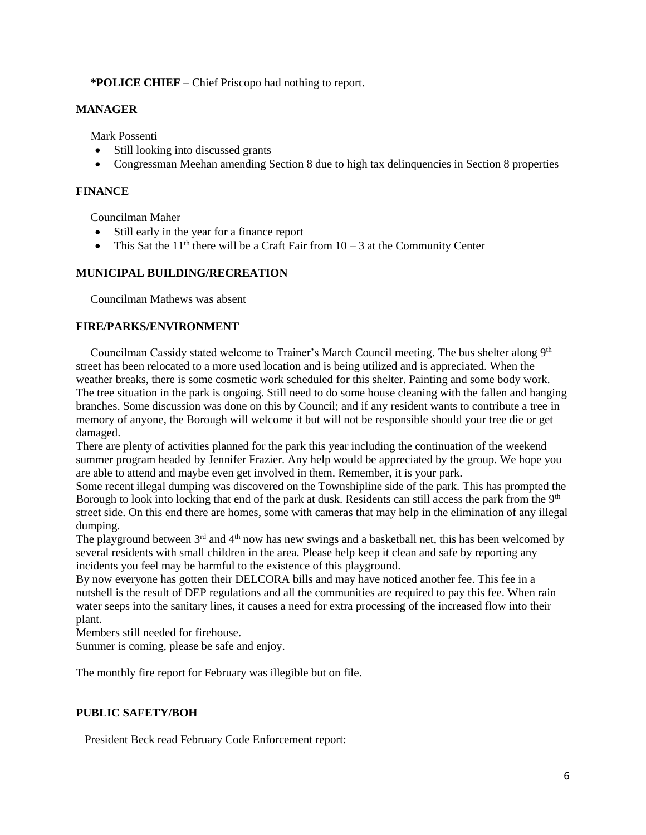**\*POLICE CHIEF –** Chief Priscopo had nothing to report.

## **MANAGER**

Mark Possenti

- Still looking into discussed grants
- Congressman Meehan amending Section 8 due to high tax delinquencies in Section 8 properties

# **FINANCE**

Councilman Maher

- Still early in the year for a finance report
- This Sat the  $11<sup>th</sup>$  there will be a Craft Fair from  $10 3$  at the Community Center

# **MUNICIPAL BUILDING/RECREATION**

Councilman Mathews was absent

## **FIRE/PARKS/ENVIRONMENT**

Councilman Cassidy stated welcome to Trainer's March Council meeting. The bus shelter along  $9<sup>th</sup>$ street has been relocated to a more used location and is being utilized and is appreciated. When the weather breaks, there is some cosmetic work scheduled for this shelter. Painting and some body work. The tree situation in the park is ongoing. Still need to do some house cleaning with the fallen and hanging branches. Some discussion was done on this by Council; and if any resident wants to contribute a tree in memory of anyone, the Borough will welcome it but will not be responsible should your tree die or get damaged.

There are plenty of activities planned for the park this year including the continuation of the weekend summer program headed by Jennifer Frazier. Any help would be appreciated by the group. We hope you are able to attend and maybe even get involved in them. Remember, it is your park.

Some recent illegal dumping was discovered on the Townshipline side of the park. This has prompted the Borough to look into locking that end of the park at dusk. Residents can still access the park from the  $9<sup>th</sup>$ street side. On this end there are homes, some with cameras that may help in the elimination of any illegal dumping.

The playground between  $3<sup>rd</sup>$  and  $4<sup>th</sup>$  now has new swings and a basketball net, this has been welcomed by several residents with small children in the area. Please help keep it clean and safe by reporting any incidents you feel may be harmful to the existence of this playground.

By now everyone has gotten their DELCORA bills and may have noticed another fee. This fee in a nutshell is the result of DEP regulations and all the communities are required to pay this fee. When rain water seeps into the sanitary lines, it causes a need for extra processing of the increased flow into their plant.

Members still needed for firehouse.

Summer is coming, please be safe and enjoy.

The monthly fire report for February was illegible but on file.

# **PUBLIC SAFETY/BOH**

President Beck read February Code Enforcement report: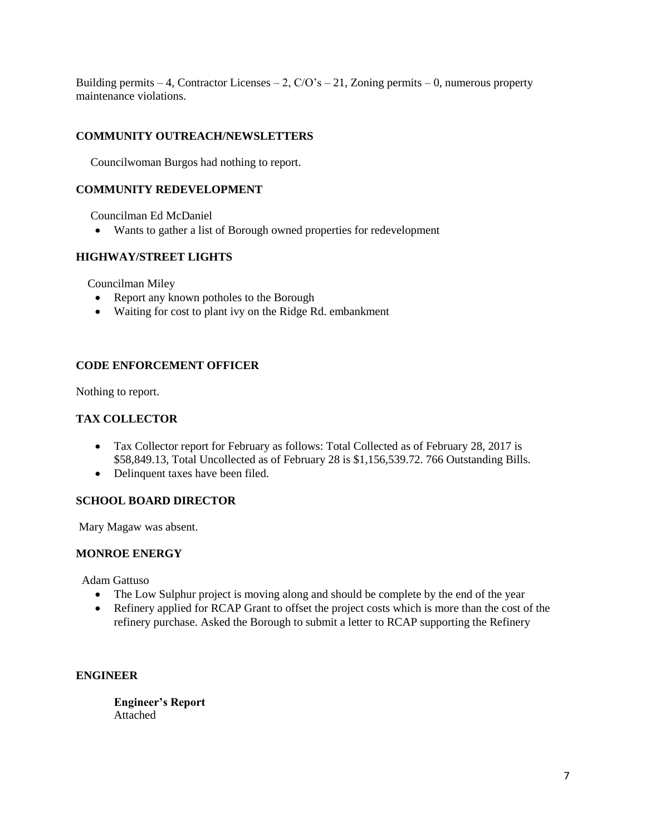Building permits – 4, Contractor Licenses – 2,  $C/O's - 21$ , Zoning permits – 0, numerous property maintenance violations.

# **COMMUNITY OUTREACH/NEWSLETTERS**

Councilwoman Burgos had nothing to report.

## **COMMUNITY REDEVELOPMENT**

Councilman Ed McDaniel

Wants to gather a list of Borough owned properties for redevelopment

# **HIGHWAY/STREET LIGHTS**

Councilman Miley

- Report any known potholes to the Borough
- Waiting for cost to plant ivy on the Ridge Rd. embankment

# **CODE ENFORCEMENT OFFICER**

Nothing to report.

## **TAX COLLECTOR**

- Tax Collector report for February as follows: Total Collected as of February 28, 2017 is \$58,849.13, Total Uncollected as of February 28 is \$1,156,539.72. 766 Outstanding Bills.
- Delinquent taxes have been filed.

## **SCHOOL BOARD DIRECTOR**

Mary Magaw was absent.

## **MONROE ENERGY**

Adam Gattuso

- The Low Sulphur project is moving along and should be complete by the end of the year
- Refinery applied for RCAP Grant to offset the project costs which is more than the cost of the refinery purchase. Asked the Borough to submit a letter to RCAP supporting the Refinery

## **ENGINEER**

**Engineer's Report** Attached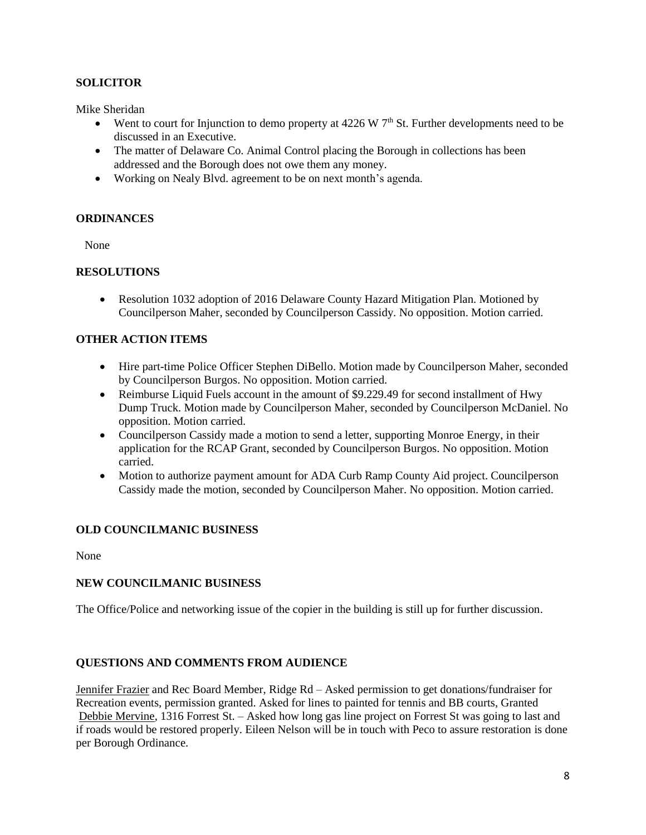## **SOLICITOR**

Mike Sheridan

- Went to court for Injunction to demo property at  $4226 \text{ W } 7^{\text{th}}$  St. Further developments need to be discussed in an Executive.
- The matter of Delaware Co. Animal Control placing the Borough in collections has been addressed and the Borough does not owe them any money.
- Working on Nealy Blvd. agreement to be on next month's agenda.

## **ORDINANCES**

None

## **RESOLUTIONS**

• Resolution 1032 adoption of 2016 Delaware County Hazard Mitigation Plan. Motioned by Councilperson Maher, seconded by Councilperson Cassidy. No opposition. Motion carried.

# **OTHER ACTION ITEMS**

- Hire part-time Police Officer Stephen DiBello. Motion made by Councilperson Maher, seconded by Councilperson Burgos. No opposition. Motion carried.
- Reimburse Liquid Fuels account in the amount of \$9.229.49 for second installment of Hwy Dump Truck. Motion made by Councilperson Maher, seconded by Councilperson McDaniel. No opposition. Motion carried.
- Councilperson Cassidy made a motion to send a letter, supporting Monroe Energy, in their application for the RCAP Grant, seconded by Councilperson Burgos. No opposition. Motion carried.
- Motion to authorize payment amount for ADA Curb Ramp County Aid project. Councilperson Cassidy made the motion, seconded by Councilperson Maher. No opposition. Motion carried.

# **OLD COUNCILMANIC BUSINESS**

None

## **NEW COUNCILMANIC BUSINESS**

The Office/Police and networking issue of the copier in the building is still up for further discussion.

## **QUESTIONS AND COMMENTS FROM AUDIENCE**

Jennifer Frazier and Rec Board Member, Ridge Rd – Asked permission to get donations/fundraiser for Recreation events, permission granted. Asked for lines to painted for tennis and BB courts, Granted Debbie Mervine, 1316 Forrest St. – Asked how long gas line project on Forrest St was going to last and if roads would be restored properly. Eileen Nelson will be in touch with Peco to assure restoration is done per Borough Ordinance.